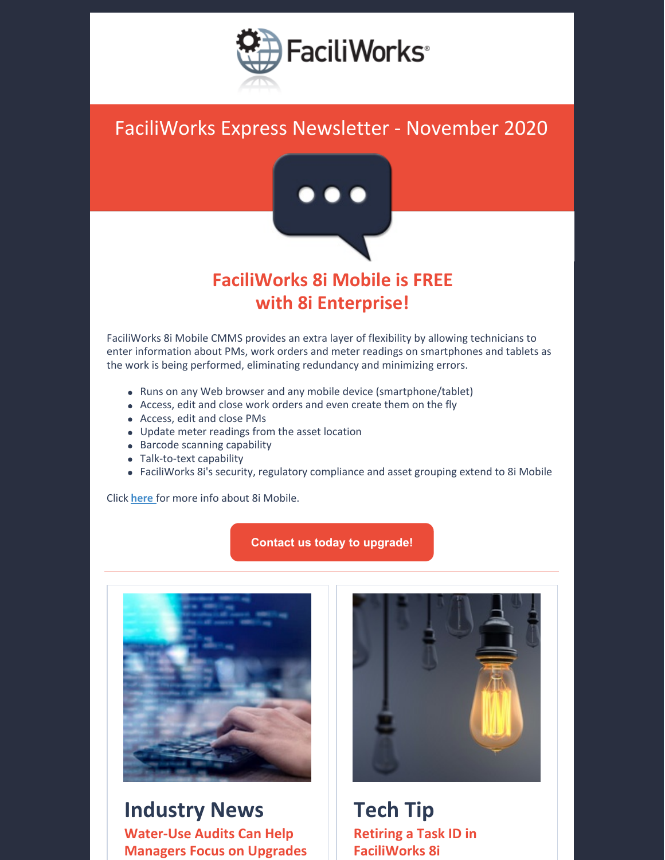

## FaciliWorks Express Newsletter - November 2020



### **FaciliWorks 8i Mobile is FREE with 8i Enterprise!**

FaciliWorks 8i Mobile CMMS provides an extra layer of flexibility by allowing technicians to enter information about PMs, work orders and meter readings on smartphones and tablets as the work is being performed, eliminating redundancy and minimizing errors.

- Runs on any Web browser and any mobile device (smartphone/tablet)
- Access, edit and close work orders and even create them on the fly
- Access, edit and close PMs
- Update meter readings from the asset location
- Barcode scanning capability
- Talk-to-text capability
- FaciliWorks 8i's security, regulatory compliance and asset grouping extend to 8i Mobile

Click **[here](https://faciliworks.com/software/mobile/)** for more info about 8i Mobile.

#### **Contact us today to [upgrade!](mailto:sales@cybermetrics.com)**



**Industry News Water-Use Audits Can Help Managers Focus on Upgrades**



**Tech Tip Retiring a Task ID in FaciliWorks 8i**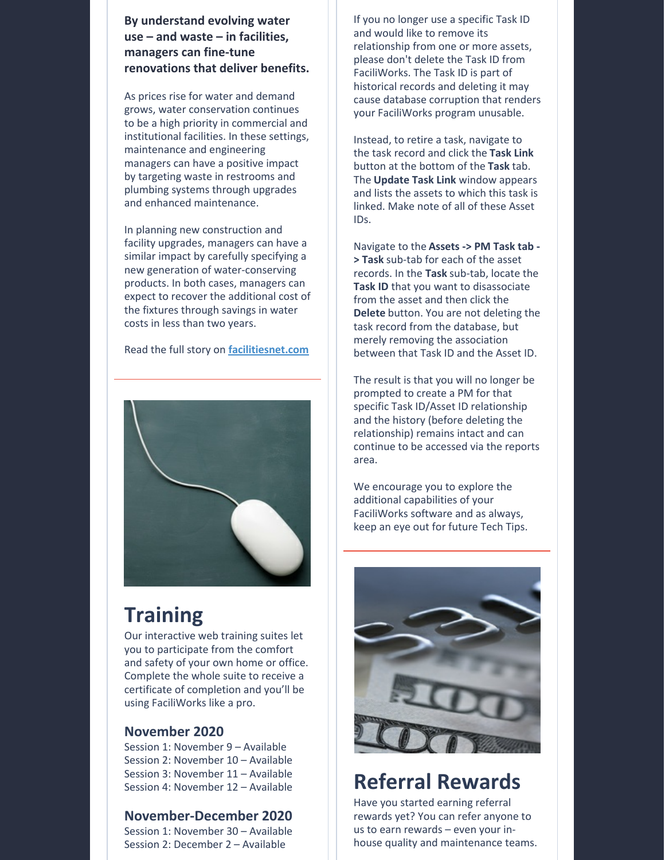**By understand evolving water use – and waste – in facilities, managers can fine-tune renovations that deliver benefits.**

As prices rise for water and demand grows, water conservation continues to be a high priority in commercial and institutional facilities. In these settings, maintenance and engineering managers can have a positive impact by targeting waste in restrooms and plumbing systems through upgrades and enhanced maintenance.

In planning new construction and facility upgrades, managers can have a similar impact by carefully specifying a new generation of water-conserving products. In both cases, managers can expect to recover the additional cost of the fixtures through savings in water costs in less than two years.

Read the full story on **[facilitiesnet.com](https://www.facilitiesnet.com/plumbingrestrooms/article/WaterUse-Audits-Can-Help-Managers-Focus-on-Upgrades--19076)**



## **Training**

Our interactive web training suites let you to participate from the comfort and safety of your own home or office. Complete the whole suite to receive a certificate of completion and you'll be using FaciliWorks like a pro.

### **November 2020**

Session 1: November 9 – Available Session 2: November 10 – Available Session 3: November 11 – Available Session 4: November 12 – Available

### **November-December 2020**

Session 1: November 30 – Available Session 2: December 2 – Available

If you no longer use a specific Task ID and would like to remove its relationship from one or more assets, please don't delete the Task ID from FaciliWorks. The Task ID is part of historical records and deleting it may cause database corruption that renders your FaciliWorks program unusable.

Instead, to retire a task, navigate to the task record and click the **Task Link** button at the bottom of the **Task** tab. The **Update Task Link** window appears and lists the assets to which this task is linked. Make note of all of these Asset IDs.

Navigate to the **Assets -> PM Task tab - > Task** sub-tab for each of the asset records. In the **Task** sub-tab, locate the **Task ID** that you want to disassociate from the asset and then click the **Delete** button. You are not deleting the task record from the database, but merely removing the association between that Task ID and the Asset ID.

The result is that you will no longer be prompted to create a PM for that specific Task ID/Asset ID relationship and the history (before deleting the relationship) remains intact and can continue to be accessed via the reports area.

We encourage you to explore the additional capabilities of your FaciliWorks software and as always, keep an eye out for future Tech Tips.



# **Referral Rewards**

Have you started earning referral rewards yet? You can refer anyone to us to earn rewards – even your inhouse quality and maintenance teams.